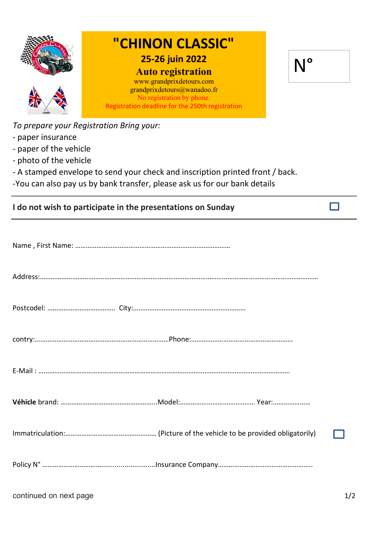

To prepare your Registration Bring your:

- paper insurance
- paper of the vehicle
- photo of the vehicle
- A stamped envelope to send your check and inscription printed front / back.
- -You can also pay us by bank transfer, please ask us for our bank details

|  |  |  | I do not wish to participate in the presentations on Sunday |
|--|--|--|-------------------------------------------------------------|
|--|--|--|-------------------------------------------------------------|

 $\Box$